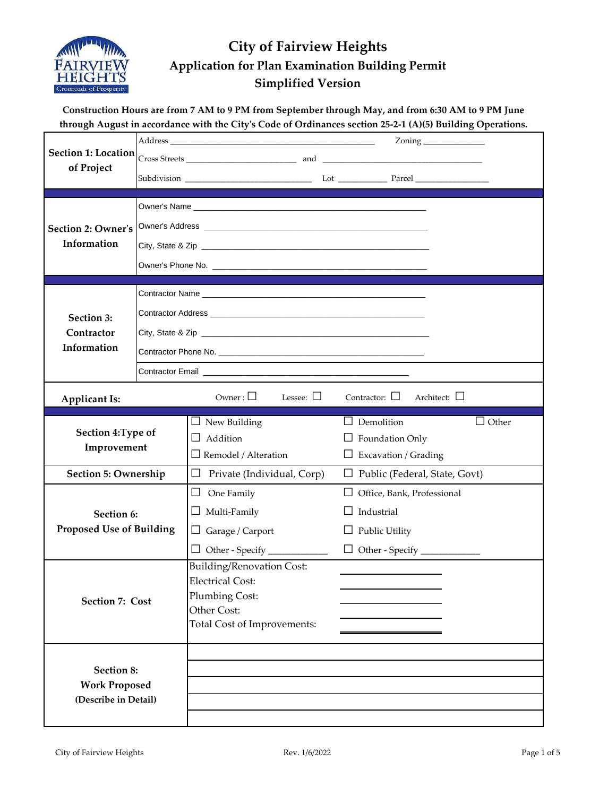

#### **Construction Hours are from 7 AM to 9 PM from September through May, and from 6:30 AM to 9 PM June through August in accordance with the City's Code of Ordinances section 25-2-1 (A)(5) Building Operations.**

| <b>Section 1: Location</b>         |  |                                                                                                                                                                                                                                      |                                         |  |  |  |  |
|------------------------------------|--|--------------------------------------------------------------------------------------------------------------------------------------------------------------------------------------------------------------------------------------|-----------------------------------------|--|--|--|--|
| of Project                         |  |                                                                                                                                                                                                                                      |                                         |  |  |  |  |
|                                    |  |                                                                                                                                                                                                                                      |                                         |  |  |  |  |
| <b>Section 2: Owner's</b>          |  | Owner's Address <b>Contract Contract Contract Contract Contract Contract Contract Contract Contract Contract Contract Contract Contract Contract Contract Contract Contract Contract Contract Contract Contract Contract Contrac</b> |                                         |  |  |  |  |
| Information                        |  |                                                                                                                                                                                                                                      |                                         |  |  |  |  |
|                                    |  |                                                                                                                                                                                                                                      |                                         |  |  |  |  |
|                                    |  |                                                                                                                                                                                                                                      |                                         |  |  |  |  |
|                                    |  |                                                                                                                                                                                                                                      |                                         |  |  |  |  |
| Section 3:                         |  |                                                                                                                                                                                                                                      |                                         |  |  |  |  |
| Contractor<br>Information          |  |                                                                                                                                                                                                                                      |                                         |  |  |  |  |
|                                    |  |                                                                                                                                                                                                                                      |                                         |  |  |  |  |
|                                    |  |                                                                                                                                                                                                                                      |                                         |  |  |  |  |
| <b>Applicant Is:</b>               |  | Owner: $\square$<br>Lessee: $\Box$                                                                                                                                                                                                   | Contractor: $\Box$<br>Architect: $\Box$ |  |  |  |  |
|                                    |  | $\Box$ New Building                                                                                                                                                                                                                  | $\Box$ Demolition<br>$\Box$ Other       |  |  |  |  |
| Section 4: Type of<br>Improvement  |  | Addition<br>$\Box$                                                                                                                                                                                                                   | $\Box$ Foundation Only                  |  |  |  |  |
|                                    |  | $\Box$ Remodel / Alteration                                                                                                                                                                                                          | $\Box$ Excavation / Grading             |  |  |  |  |
| Section 5: Ownership               |  | Private (Individual, Corp)<br>⊔                                                                                                                                                                                                      | $\Box$ Public (Federal, State, Govt)    |  |  |  |  |
|                                    |  | $\Box$<br>One Family                                                                                                                                                                                                                 | $\Box$ Office, Bank, Professional       |  |  |  |  |
| Section 6:                         |  | $\Box$ Multi-Family                                                                                                                                                                                                                  | Industrial<br>ΙI                        |  |  |  |  |
| <b>Proposed Use of Building</b>    |  | $\Box$ Garage / Carport                                                                                                                                                                                                              | $\Box$ Public Utility                   |  |  |  |  |
|                                    |  |                                                                                                                                                                                                                                      |                                         |  |  |  |  |
|                                    |  | <b>Building/Renovation Cost:</b>                                                                                                                                                                                                     |                                         |  |  |  |  |
|                                    |  | <b>Electrical Cost:</b><br>Plumbing Cost:                                                                                                                                                                                            |                                         |  |  |  |  |
| Section 7: Cost                    |  | Other Cost:                                                                                                                                                                                                                          |                                         |  |  |  |  |
|                                    |  | Total Cost of Improvements:                                                                                                                                                                                                          |                                         |  |  |  |  |
|                                    |  |                                                                                                                                                                                                                                      |                                         |  |  |  |  |
|                                    |  |                                                                                                                                                                                                                                      |                                         |  |  |  |  |
| Section 8:<br><b>Work Proposed</b> |  |                                                                                                                                                                                                                                      |                                         |  |  |  |  |
| (Describe in Detail)               |  |                                                                                                                                                                                                                                      |                                         |  |  |  |  |
|                                    |  |                                                                                                                                                                                                                                      |                                         |  |  |  |  |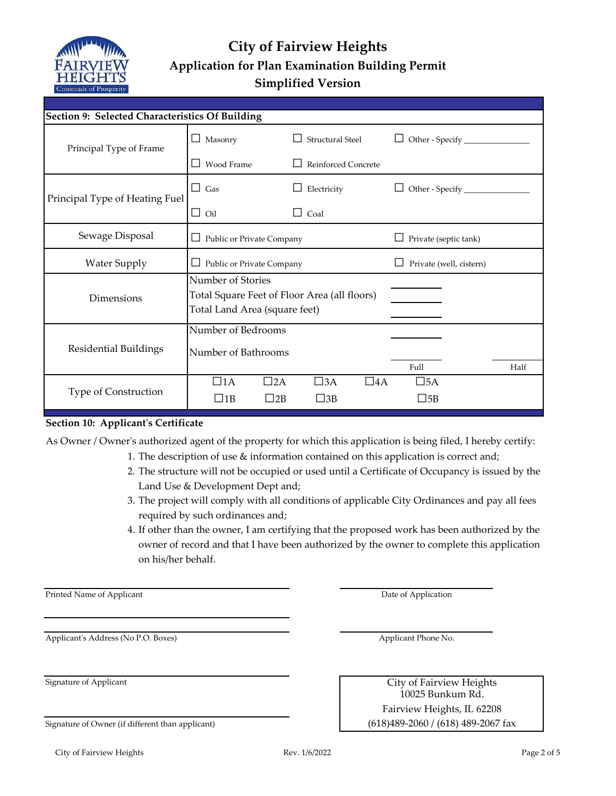

| Section 9: Selected Characteristics Of Building |                                                                                                    |              |                  |              |                         |  |      |
|-------------------------------------------------|----------------------------------------------------------------------------------------------------|--------------|------------------|--------------|-------------------------|--|------|
| Principal Type of Frame                         | Masonry<br>ப                                                                                       |              | Structural Steel |              | $\Box$                  |  |      |
|                                                 | Wood Frame<br>Reinforced Concrete                                                                  |              |                  |              |                         |  |      |
| Principal Type of Heating Fuel                  | $\Box$ Gas                                                                                         |              | Electricity      |              |                         |  |      |
|                                                 | $\Box$ Oil                                                                                         |              | $\Box$ Coal      |              |                         |  |      |
| Sewage Disposal                                 | $\Box$ Public or Private Company                                                                   |              |                  |              | Private (septic tank)   |  |      |
| <b>Water Supply</b>                             | $\Box$ Public or Private Company                                                                   |              |                  |              | Private (well, cistern) |  |      |
| Dimensions                                      | Number of Stories<br>Total Square Feet of Floor Area (all floors)<br>Total Land Area (square feet) |              |                  |              |                         |  |      |
| Residential Buildings                           | Number of Bedrooms<br>Number of Bathrooms                                                          |              |                  |              |                         |  |      |
|                                                 |                                                                                                    |              |                  |              | Full                    |  | Half |
|                                                 | $\Box$ 1A                                                                                          | $\square$ 2A | $\square$ 3A     | $\square$ 4A | $\square$ 5A            |  |      |
| Type of Construction                            | $\Box$ 1B                                                                                          | $\vert$  2B  | $\square$ 3B     |              | $\square$ 5B            |  |      |

#### **Section 10: Applicant's Certificate**

As Owner / Owner's authorized agent of the property for which this application is being filed, I hereby certify:

- 1. The description of use & information contained on this application is correct and;
	- 2. The structure will not be occupied or used until a Certificate of Occupancy is issued by the Land Use & Development Dept and;
	- 3. The project will comply with all conditions of applicable City Ordinances and pay all fees required by such ordinances and;
	- 4. If other than the owner, I am certifying that the proposed work has been authorized by the owner of record and that I have been authorized by the owner to complete this application on his/her behalf.

Printed Name of Applicant

Applicant's Address (No P.O. Boxes)

|  |  | Signature of Owner (if different than applicant) |
|--|--|--------------------------------------------------|
|  |  |                                                  |

Applicant Phone No.

Date of Application

 $(618)489-2060$  /  $(618)$  489-2067 fax Fairview Heights, IL 62208 Signature of Applicant City of Fairview Heights 10025 Bunkum Rd.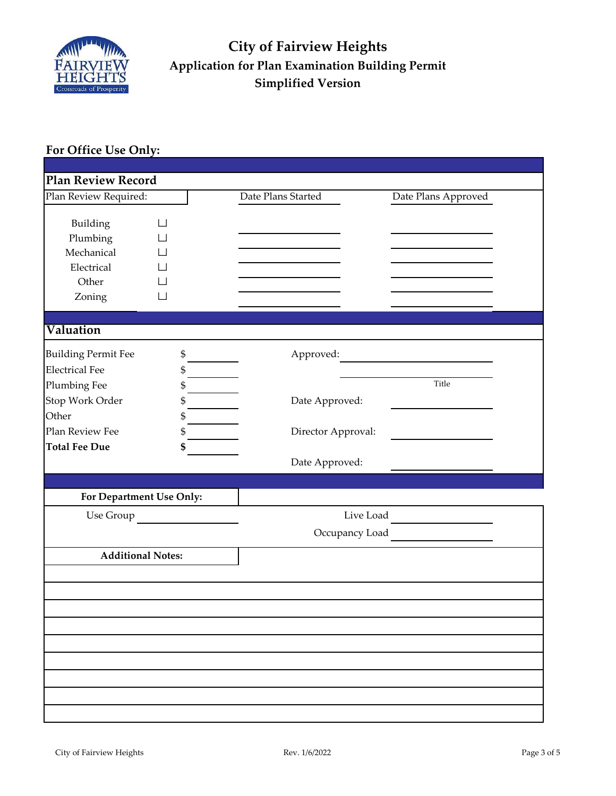

#### **For Office Use Only:**

| <b>Plan Review Record</b>  |           |                    |                     |
|----------------------------|-----------|--------------------|---------------------|
| Plan Review Required:      |           | Date Plans Started | Date Plans Approved |
|                            |           |                    |                     |
| Building                   |           |                    |                     |
| Plumbing                   |           |                    |                     |
| Mechanical                 |           |                    |                     |
| Electrical                 |           |                    |                     |
| Other                      |           |                    |                     |
| Zoning                     |           |                    |                     |
|                            |           |                    |                     |
| Valuation                  |           |                    |                     |
| <b>Building Permit Fee</b> | \$        | Approved:          |                     |
| <b>Electrical Fee</b>      | \$        |                    |                     |
| Plumbing Fee               | \$        |                    | Title               |
| Stop Work Order            | \$        | Date Approved:     |                     |
| Other                      | \$        |                    |                     |
| Plan Review Fee            | \$        | Director Approval: |                     |
| <b>Total Fee Due</b>       | \$        |                    |                     |
|                            |           | Date Approved:     |                     |
|                            |           |                    |                     |
| For Department Use Only:   |           |                    |                     |
|                            | Use Group |                    | Live Load           |
|                            |           |                    | Occupancy Load      |
| <b>Additional Notes:</b>   |           |                    |                     |
|                            |           |                    |                     |
|                            |           |                    |                     |
|                            |           |                    |                     |
|                            |           |                    |                     |
|                            |           |                    |                     |
|                            |           |                    |                     |
|                            |           |                    |                     |
|                            |           |                    |                     |
|                            |           |                    |                     |
|                            |           |                    |                     |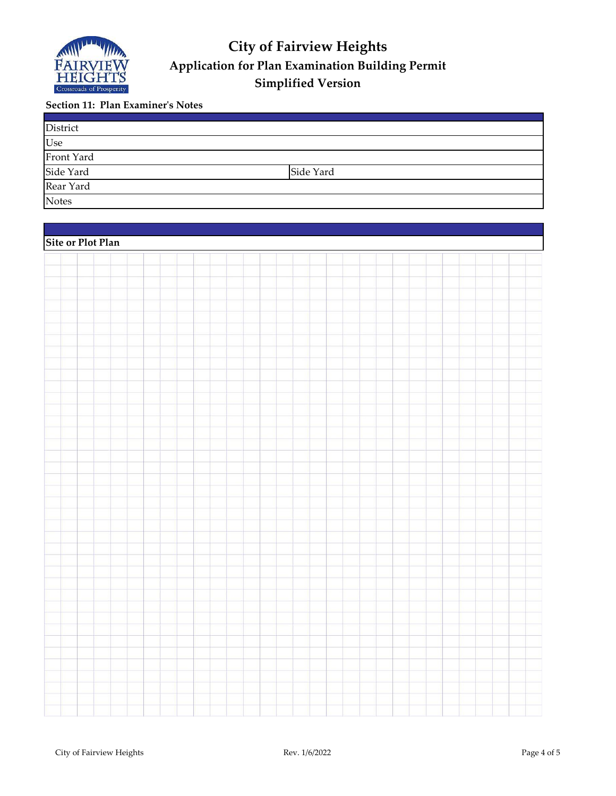

#### **Section 11: Plan Examiner's Notes**

| District     |           |  |
|--------------|-----------|--|
| Use          |           |  |
| Front Yard   |           |  |
| Side Yard    | Side Yard |  |
| Rear Yard    |           |  |
| <b>Notes</b> |           |  |

| Site or Plot Plan |  |  |  |  |
|-------------------|--|--|--|--|
|                   |  |  |  |  |
|                   |  |  |  |  |
|                   |  |  |  |  |
|                   |  |  |  |  |
|                   |  |  |  |  |
|                   |  |  |  |  |
|                   |  |  |  |  |
|                   |  |  |  |  |
|                   |  |  |  |  |
|                   |  |  |  |  |
|                   |  |  |  |  |
|                   |  |  |  |  |
|                   |  |  |  |  |
|                   |  |  |  |  |
|                   |  |  |  |  |
|                   |  |  |  |  |
|                   |  |  |  |  |
|                   |  |  |  |  |
|                   |  |  |  |  |
|                   |  |  |  |  |
|                   |  |  |  |  |
|                   |  |  |  |  |
|                   |  |  |  |  |
|                   |  |  |  |  |
|                   |  |  |  |  |
|                   |  |  |  |  |
|                   |  |  |  |  |
|                   |  |  |  |  |
|                   |  |  |  |  |
|                   |  |  |  |  |
|                   |  |  |  |  |
|                   |  |  |  |  |
|                   |  |  |  |  |
|                   |  |  |  |  |
|                   |  |  |  |  |